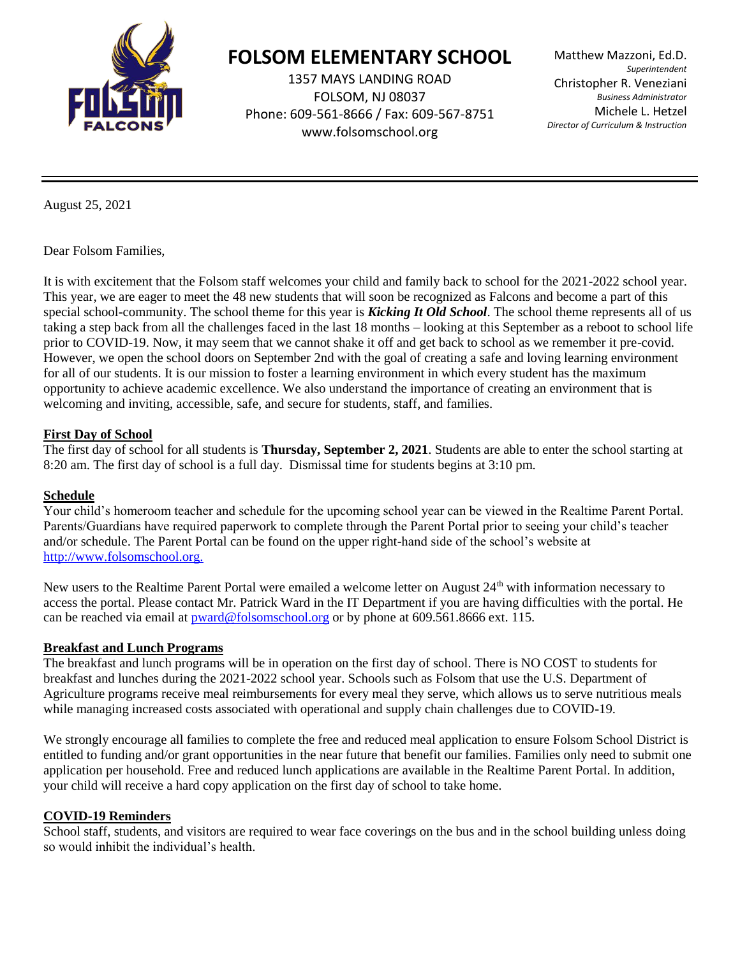

# **FOLSOM ELEMENTARY SCHOOL**

1357 MAYS LANDING ROAD FOLSOM, NJ 08037 Phone: 609-561-8666 / Fax: 609-567-8751 [www.folsomschool.org](http://www.folsomschool.org/)

Matthew Mazzoni, Ed.D. *Superintendent* Christopher R. Veneziani *Business Administrator* Michele L. Hetzel *Director of Curriculum & Instruction*

August 25, 2021

Dear Folsom Families,

It is with excitement that the Folsom staff welcomes your child and family back to school for the 2021-2022 school year. This year, we are eager to meet the 48 new students that will soon be recognized as Falcons and become a part of this special school-community. The school theme for this year is *Kicking It Old School*. The school theme represents all of us taking a step back from all the challenges faced in the last 18 months – looking at this September as a reboot to school life prior to COVID-19. Now, it may seem that we cannot shake it off and get back to school as we remember it pre-covid. However, we open the school doors on September 2nd with the goal of creating a safe and loving learning environment for all of our students. It is our mission to foster a learning environment in which every student has the maximum opportunity to achieve academic excellence. We also understand the importance of creating an environment that is welcoming and inviting, accessible, safe, and secure for students, staff, and families.

### **First Day of School**

The first day of school for all students is **Thursday, September 2, 2021**. Students are able to enter the school starting at 8:20 am. The first day of school is a full day. Dismissal time for students begins at 3:10 pm.

### **Schedule**

Your child's homeroom teacher and schedule for the upcoming school year can be viewed in the Realtime Parent Portal. Parents/Guardians have required paperwork to complete through the Parent Portal prior to seeing your child's teacher and/or schedule. The Parent Portal can be found on the upper right-hand side of the school's website at [http://www.folsomschool.org.](http://www.folsomschool.org./)

New users to the Realtime Parent Portal were emailed a welcome letter on August 24<sup>th</sup> with information necessary to access the portal. Please contact Mr. Patrick Ward in the IT Department if you are having difficulties with the portal. He can be reached via email at **pward@folsomschool.org** or by phone at 609.561.8666 ext. 115.

### **Breakfast and Lunch Programs**

The breakfast and lunch programs will be in operation on the first day of school. There is NO COST to students for breakfast and lunches during the 2021-2022 school year. Schools such as Folsom that use the U.S. Department of Agriculture programs receive meal reimbursements for every meal they serve, which allows us to serve nutritious meals while managing increased costs associated with operational and supply chain challenges due to COVID-19.

We strongly encourage all families to complete the free and reduced meal application to ensure Folsom School District is entitled to funding and/or grant opportunities in the near future that benefit our families. Families only need to submit one application per household. Free and reduced lunch applications are available in the Realtime Parent Portal. In addition, your child will receive a hard copy application on the first day of school to take home.

### **COVID-19 Reminders**

School staff, students, and visitors are required to wear face coverings on the bus and in the school building unless doing so would inhibit the individual's health.